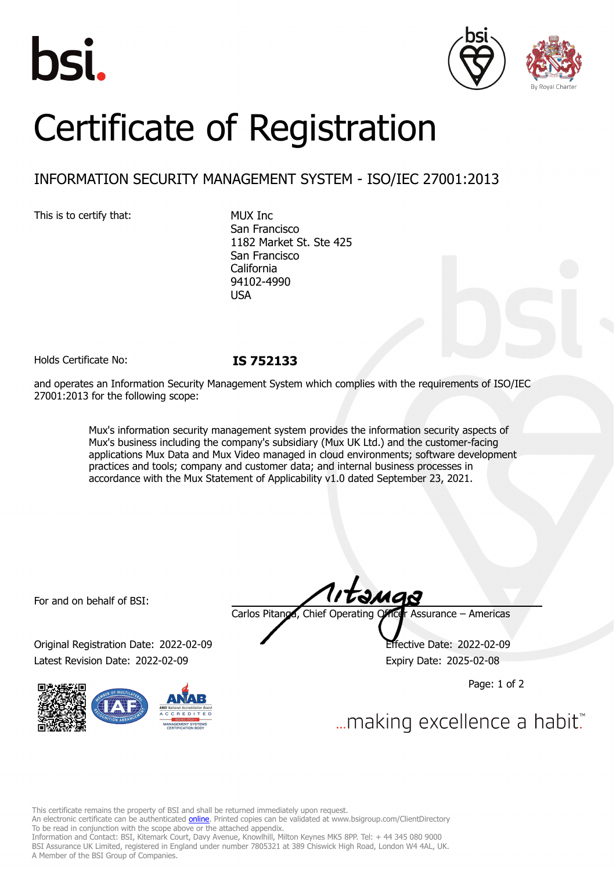





# Certificate of Registration

## INFORMATION SECURITY MANAGEMENT SYSTEM - ISO/IEC 27001:2013

This is to certify that: MUX Inc

San Francisco 1182 Market St. Ste 425 San Francisco California 94102-4990 USA

Holds Certificate No: **IS 752133**

and operates an Information Security Management System which complies with the requirements of ISO/IEC 27001:2013 for the following scope:

> Mux's information security management system provides the information security aspects of Mux's business including the company's subsidiary (Mux UK Ltd.) and the customer-facing applications Mux Data and Mux Video managed in cloud environments; software development practices and tools; company and customer data; and internal business processes in accordance with the Mux Statement of Applicability v1.0 dated September 23, 2021.

For and on behalf of BSI:

Original Registration Date: 2022-02-09 Effective Date: 2022-02-09 Latest Revision Date: 2022-02-09 Expiry Date: 2025-02-08



Carlos Pitanga, Chief Operating Officer Assurance – Americas

Page: 1 of 2

... making excellence a habit.

This certificate remains the property of BSI and shall be returned immediately upon request.

An electronic certificate can be authenticated *[online](https://pgplus.bsigroup.com/CertificateValidation/CertificateValidator.aspx?CertificateNumber=IS+752133&ReIssueDate=09%2f02%2f2022&Template=inc)*. Printed copies can be validated at www.bsigroup.com/ClientDirectory To be read in conjunction with the scope above or the attached appendix.

Information and Contact: BSI, Kitemark Court, Davy Avenue, Knowlhill, Milton Keynes MK5 8PP. Tel: + 44 345 080 9000 BSI Assurance UK Limited, registered in England under number 7805321 at 389 Chiswick High Road, London W4 4AL, UK. A Member of the BSI Group of Companies.